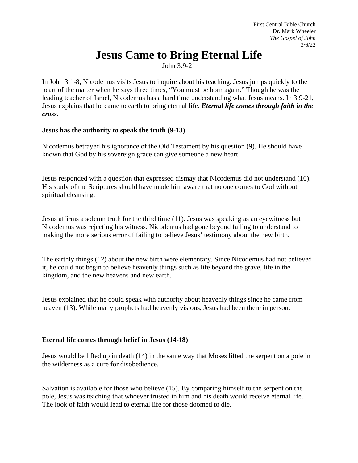# **Jesus Came to Bring Eternal Life**

John 3:9-21

In John 3:1-8, Nicodemus visits Jesus to inquire about his teaching. Jesus jumps quickly to the heart of the matter when he says three times, "You must be born again." Though he was the leading teacher of Israel, Nicodemus has a hard time understanding what Jesus means. In 3:9-21, Jesus explains that he came to earth to bring eternal life. *Eternal life comes through faith in the cross.*

#### **Jesus has the authority to speak the truth (9-13)**

Nicodemus betrayed his ignorance of the Old Testament by his question (9). He should have known that God by his sovereign grace can give someone a new heart.

Jesus responded with a question that expressed dismay that Nicodemus did not understand (10). His study of the Scriptures should have made him aware that no one comes to God without spiritual cleansing.

Jesus affirms a solemn truth for the third time (11). Jesus was speaking as an eyewitness but Nicodemus was rejecting his witness. Nicodemus had gone beyond failing to understand to making the more serious error of failing to believe Jesus' testimony about the new birth.

The earthly things (12) about the new birth were elementary. Since Nicodemus had not believed it, he could not begin to believe heavenly things such as life beyond the grave, life in the kingdom, and the new heavens and new earth.

Jesus explained that he could speak with authority about heavenly things since he came from heaven (13). While many prophets had heavenly visions, Jesus had been there in person.

## **Eternal life comes through belief in Jesus (14-18)**

Jesus would be lifted up in death (14) in the same way that Moses lifted the serpent on a pole in the wilderness as a cure for disobedience.

Salvation is available for those who believe (15). By comparing himself to the serpent on the pole, Jesus was teaching that whoever trusted in him and his death would receive eternal life. The look of faith would lead to eternal life for those doomed to die.